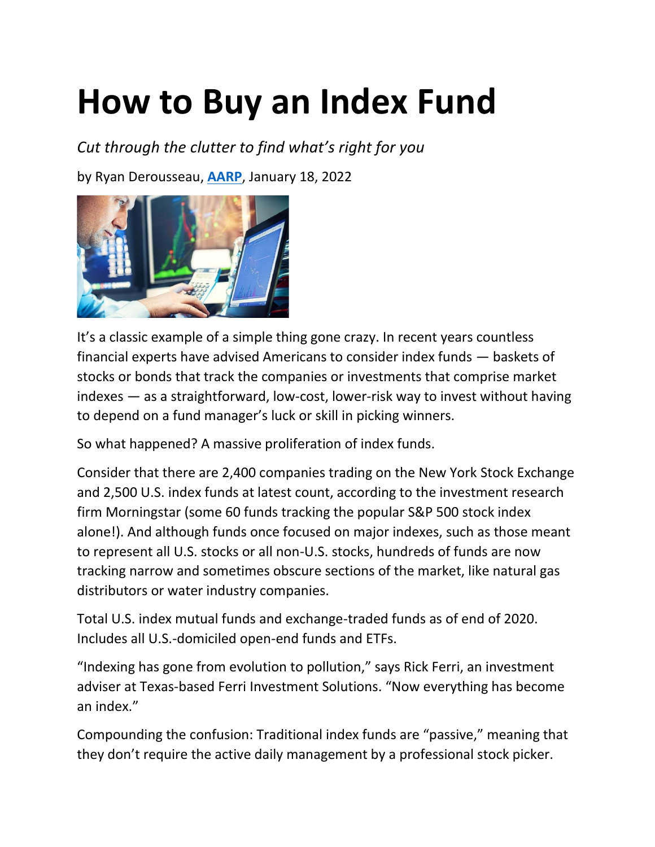# **How to Buy an Index Fund**

*Cut through the clutter to find what's right for you*

by Ryan Derousseau, **[AARP](http://www.aarp.org/)**, January 18, 2022



It's a classic example of a simple thing gone crazy. In recent years countless financial experts have advised Americans to consider index funds — baskets of stocks or bonds that track the companies or investments that comprise market indexes — as a straightforward, low-cost, lower-risk way to invest without having to depend on a fund manager's luck or skill in picking winners.

So what happened? A massive proliferation of index funds.

Consider that there are 2,400 companies trading on the New York Stock Exchange and 2,500 U.S. index funds at latest count, according to the investment research firm Morningstar (some 60 funds tracking the popular S&P 500 stock index alone!). And although funds once focused on major indexes, such as those meant to represent all U.S. stocks or all non-U.S. stocks, hundreds of funds are now tracking narrow and sometimes obscure sections of the market, like natural gas distributors or water industry companies.

Total U.S. index mutual funds and exchange-traded funds as of end of 2020. Includes all U.S.-domiciled open-end funds and ETFs.

"Indexing has gone from evolution to pollution," says Rick Ferri, an investment adviser at Texas-based Ferri Investment Solutions. "Now everything has become an index."

Compounding the confusion: Traditional index funds are "passive," meaning that they don't require the active daily management by a professional stock picker.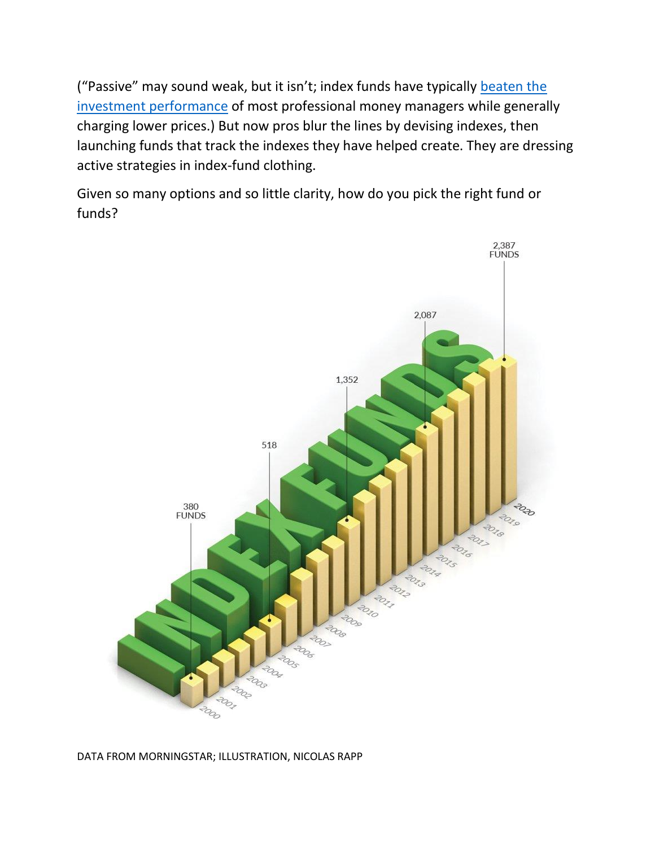("Passive" may sound weak, but it isn't; index funds have typically beaten the [investment performance](https://www.aarp.org/money/investing/info-2019/boring-is-better-strategy.html) of most professional money managers while generally charging lower prices.) But now pros blur the lines by devising indexes, then launching funds that track the indexes they have helped create. They are dressing active strategies in index-fund clothing.

Given so many options and so little clarity, how do you pick the right fund or funds?



#### DATA FROM MORNINGSTAR; ILLUSTRATION, NICOLAS RAPP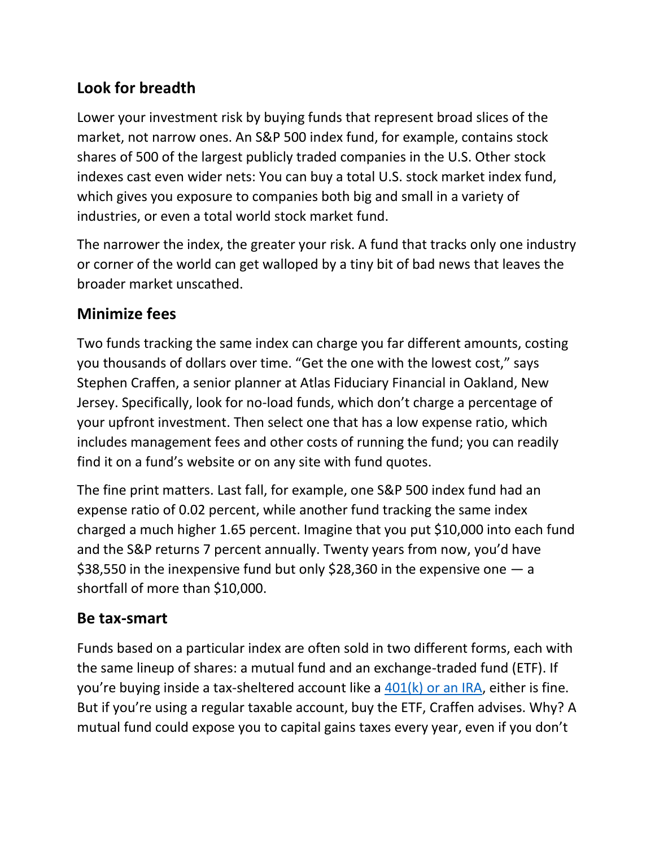## **Look for breadth**

Lower your investment risk by buying funds that represent broad slices of the market, not narrow ones. An S&P 500 index fund, for example, contains stock shares of 500 of the largest publicly traded companies in the U.S. Other stock indexes cast even wider nets: You can buy a total U.S. stock market index fund, which gives you exposure to companies both big and small in a variety of industries, or even a total world stock market fund.

The narrower the index, the greater your risk. A fund that tracks only one industry or corner of the world can get walloped by a tiny bit of bad news that leaves the broader market unscathed.

#### **Minimize fees**

Two funds tracking the same index can charge you far different amounts, costing you thousands of dollars over time. "Get the one with the lowest cost," says Stephen Craffen, a senior planner at Atlas Fiduciary Financial in Oakland, New Jersey. Specifically, look for no-load funds, which don't charge a percentage of your upfront investment. Then select one that has a low expense ratio, which includes management fees and other costs of running the fund; you can readily find it on a fund's website or on any site with fund quotes.

The fine print matters. Last fall, for example, one S&P 500 index fund had an expense ratio of 0.02 percent, while another fund tracking the same index charged a much higher 1.65 percent. Imagine that you put \$10,000 into each fund and the S&P returns 7 percent annually. Twenty years from now, you'd have \$38,550 in the inexpensive fund but only \$28,360 in the expensive one  $-$  a shortfall of more than \$10,000.

#### **Be tax-smart**

Funds based on a particular index are often sold in two different forms, each with the same lineup of shares: a mutual fund and an exchange-traded fund (ETF). If you're buying inside a tax-sheltered account like a  $401(k)$  or an IRA, either is fine. But if you're using a regular taxable account, buy the ETF, Craffen advises. Why? A mutual fund could expose you to capital gains taxes every year, even if you don't